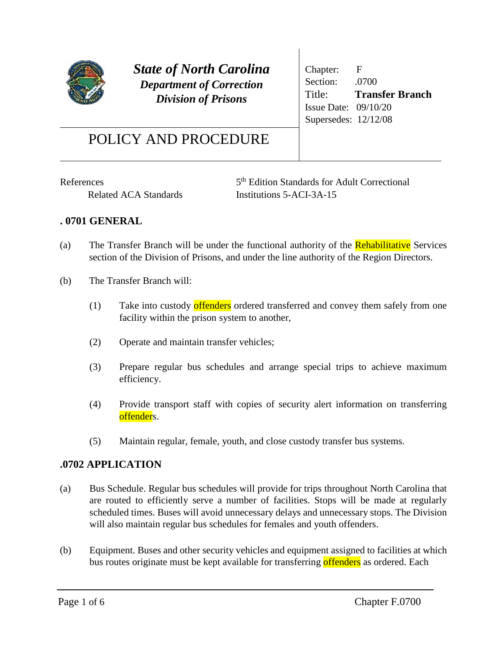

*State of North Carolina Department of Correction Division of Prisons*

Chapter: F Section: .0700 Title: **Transfer Branch** Issue Date: 09/10/20 Supersedes: 12/12/08

# POLICY AND PROCEDURE

**References** 

5<sup>th</sup> Edition Standards for Adult Correctional Related ACA Standards Institutions 5-ACI-3A-15

## **. 0701 GENERAL**

- (a) The Transfer Branch will be under the functional authority of the **Rehabilitative** Services section of the Division of Prisons, and under the line authority of the Region Directors.
- (b) The Transfer Branch will:
	- (1) Take into custody offenders ordered transferred and convey them safely from one facility within the prison system to another,
	- (2) Operate and maintain transfer vehicles;
	- (3) Prepare regular bus schedules and arrange special trips to achieve maximum efficiency.
	- (4) Provide transport staff with copies of security alert information on transferring offenders.
	- (5) Maintain regular, female, youth, and close custody transfer bus systems.

### **.0702 APPLICATION**

- (a) Bus Schedule. Regular bus schedules will provide for trips throughout North Carolina that are routed to efficiently serve a number of facilities. Stops will be made at regularly scheduled times. Buses will avoid unnecessary delays and unnecessary stops. The Division will also maintain regular bus schedules for females and youth offenders.
- (b) Equipment. Buses and other security vehicles and equipment assigned to facilities at which bus routes originate must be kept available for transferring offenders as ordered. Each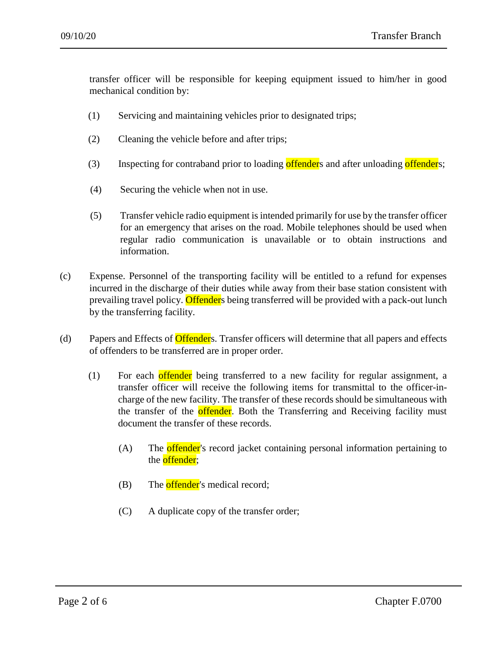transfer officer will be responsible for keeping equipment issued to him/her in good mechanical condition by:

- (1) Servicing and maintaining vehicles prior to designated trips;
- (2) Cleaning the vehicle before and after trips;
- (3) Inspecting for contraband prior to loading offenders and after unloading offenders;
- (4) Securing the vehicle when not in use.
- (5) Transfer vehicle radio equipment is intended primarily for use by the transfer officer for an emergency that arises on the road. Mobile telephones should be used when regular radio communication is unavailable or to obtain instructions and information.
- (c) Expense. Personnel of the transporting facility will be entitled to a refund for expenses incurred in the discharge of their duties while away from their base station consistent with prevailing travel policy. Offenders being transferred will be provided with a pack-out lunch by the transferring facility.
- (d) Papers and Effects of **Offender**s. Transfer officers will determine that all papers and effects of offenders to be transferred are in proper order.
	- (1) For each offender being transferred to a new facility for regular assignment, a transfer officer will receive the following items for transmittal to the officer-incharge of the new facility. The transfer of these records should be simultaneous with the transfer of the **offender**. Both the Transferring and Receiving facility must document the transfer of these records.
		- (A) The **offender**'s record jacket containing personal information pertaining to the **offender**;
		- $(B)$  The **offender**'s medical record;
		- (C) A duplicate copy of the transfer order;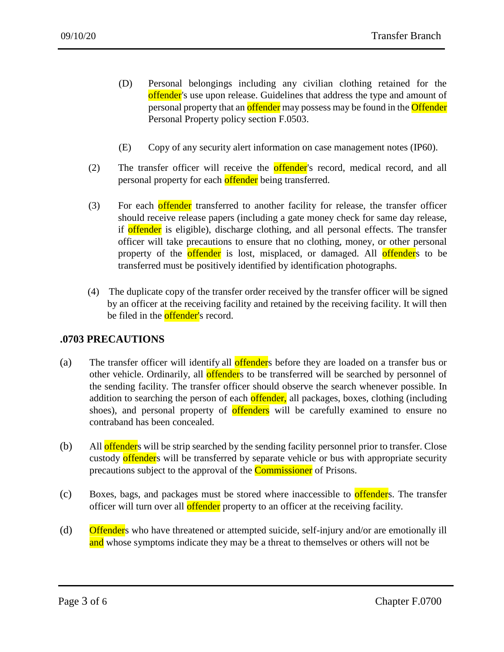- (D) Personal belongings including any civilian clothing retained for the offender's use upon release. Guidelines that address the type and amount of personal property that an offender may possess may be found in the **Offender** Personal Property policy section F.0503.
- (E) Copy of any security alert information on case management notes (IP60).
- (2) The transfer officer will receive the offender's record, medical record, and all personal property for each offender being transferred.
- (3) For each offender transferred to another facility for release, the transfer officer should receive release papers (including a gate money check for same day release, if offender is eligible), discharge clothing, and all personal effects. The transfer officer will take precautions to ensure that no clothing, money, or other personal property of the **offender** is lost, misplaced, or damaged. All **offender**s to be transferred must be positively identified by identification photographs.
- (4) The duplicate copy of the transfer order received by the transfer officer will be signed by an officer at the receiving facility and retained by the receiving facility. It will then be filed in the **offender'**s record.

#### **.0703 PRECAUTIONS**

- (a) The transfer officer will identify all **offender**s before they are loaded on a transfer bus or other vehicle. Ordinarily, all **offender**s to be transferred will be searched by personnel of the sending facility. The transfer officer should observe the search whenever possible. In addition to searching the person of each **offender**, all packages, boxes, clothing (including shoes), and personal property of offenders will be carefully examined to ensure no contraband has been concealed.
- (b) All offenders will be strip searched by the sending facility personnel prior to transfer. Close custody offenders will be transferred by separate vehicle or bus with appropriate security precautions subject to the approval of the **Commissioner** of Prisons.
- (c) Boxes, bags, and packages must be stored where inaccessible to offenders. The transfer officer will turn over all **offender** property to an officer at the receiving facility.
- (d) Offenders who have threatened or attempted suicide, self-injury and/or are emotionally ill and whose symptoms indicate they may be a threat to themselves or others will not be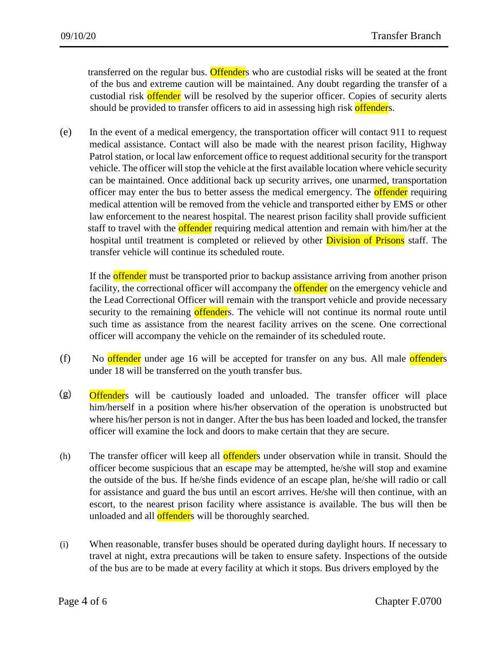transferred on the regular bus. Offenders who are custodial risks will be seated at the front of the bus and extreme caution will be maintained. Any doubt regarding the transfer of a custodial risk offender will be resolved by the superior officer. Copies of security alerts should be provided to transfer officers to aid in assessing high risk offenders.

(e) In the event of a medical emergency, the transportation officer will contact 911 to request medical assistance. Contact will also be made with the nearest prison facility, Highway Patrol station, or local law enforcement office to request additional security for the transport vehicle. The officer will stop the vehicle at the first available location where vehicle security can be maintained. Once additional back up security arrives, one unarmed, transportation officer may enter the bus to better assess the medical emergency. The **offender** requiring medical attention will be removed from the vehicle and transported either by EMS or other law enforcement to the nearest hospital. The nearest prison facility shall provide sufficient staff to travel with the **offender** requiring medical attention and remain with him/her at the hospital until treatment is completed or relieved by other **Division of Prisons** staff. The transfer vehicle will continue its scheduled route.

If the **offender** must be transported prior to backup assistance arriving from another prison facility, the correctional officer will accompany the **offender** on the emergency vehicle and the Lead Correctional Officer will remain with the transport vehicle and provide necessary security to the remaining offenders. The vehicle will not continue its normal route until such time as assistance from the nearest facility arrives on the scene. One correctional officer will accompany the vehicle on the remainder of its scheduled route.

- (f) No offender under age 16 will be accepted for transfer on any bus. All male offenders under 18 will be transferred on the youth transfer bus.
- $(g)$ **Offender**s will be cautiously loaded and unloaded. The transfer officer will place him/herself in a position where his/her observation of the operation is unobstructed but where his/her person is not in danger. After the bus has been loaded and locked, the transfer officer will examine the lock and doors to make certain that they are secure.
- (h) The transfer officer will keep all **offender**s under observation while in transit. Should the officer become suspicious that an escape may be attempted, he/she will stop and examine the outside of the bus. If he/she finds evidence of an escape plan, he/she will radio or call for assistance and guard the bus until an escort arrives. He/she will then continue, with an escort, to the nearest prison facility where assistance is available. The bus will then be unloaded and all **offender**s will be thoroughly searched.
- (i) When reasonable, transfer buses should be operated during daylight hours. If necessary to travel at night, extra precautions will be taken to ensure safety. Inspections of the outside of the bus are to be made at every facility at which it stops. Bus drivers employed by the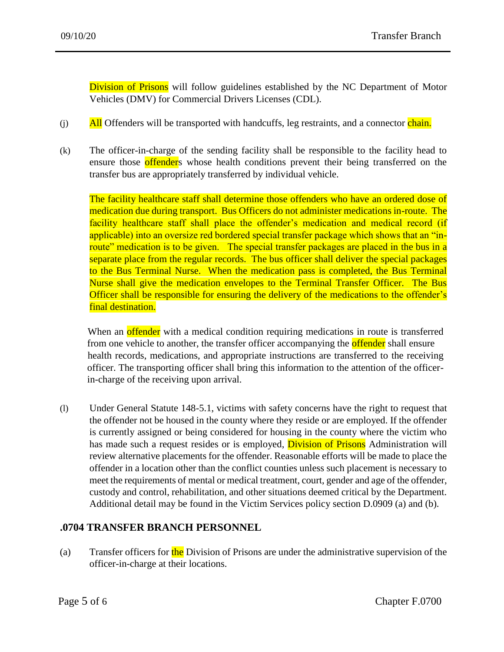Division of Prisons will follow guidelines established by the NC Department of Motor Vehicles (DMV) for Commercial Drivers Licenses (CDL).

- $\mathbf{All}$  Offenders will be transported with handcuffs, leg restraints, and a connector chain.
- (k) The officer-in-charge of the sending facility shall be responsible to the facility head to ensure those offenders whose health conditions prevent their being transferred on the transfer bus are appropriately transferred by individual vehicle.

The facility healthcare staff shall determine those offenders who have an ordered dose of medication due during transport. Bus Officers do not administer medications in-route. The facility healthcare staff shall place the offender's medication and medical record (if applicable) into an oversize red bordered special transfer package which shows that an "inroute" medication is to be given. The special transfer packages are placed in the bus in a separate place from the regular records. The bus officer shall deliver the special packages to the Bus Terminal Nurse. When the medication pass is completed, the Bus Terminal Nurse shall give the medication envelopes to the Terminal Transfer Officer. The Bus Officer shall be responsible for ensuring the delivery of the medications to the offender's final destination.

When an **offender** with a medical condition requiring medications in route is transferred from one vehicle to another, the transfer officer accompanying the **offender** shall ensure health records, medications, and appropriate instructions are transferred to the receiving officer. The transporting officer shall bring this information to the attention of the officerin-charge of the receiving upon arrival.

(l) Under General Statute 148-5.1, victims with safety concerns have the right to request that the offender not be housed in the county where they reside or are employed. If the offender is currently assigned or being considered for housing in the county where the victim who has made such a request resides or is employed, **Division of Prisons** Administration will review alternative placements for the offender. Reasonable efforts will be made to place the offender in a location other than the conflict counties unless such placement is necessary to meet the requirements of mental or medical treatment, court, gender and age of the offender, custody and control, rehabilitation, and other situations deemed critical by the Department. Additional detail may be found in the Victim Services policy section D.0909 (a) and (b).

### **.0704 TRANSFER BRANCH PERSONNEL**

(a) Transfer officers for the Division of Prisons are under the administrative supervision of the officer-in-charge at their locations.